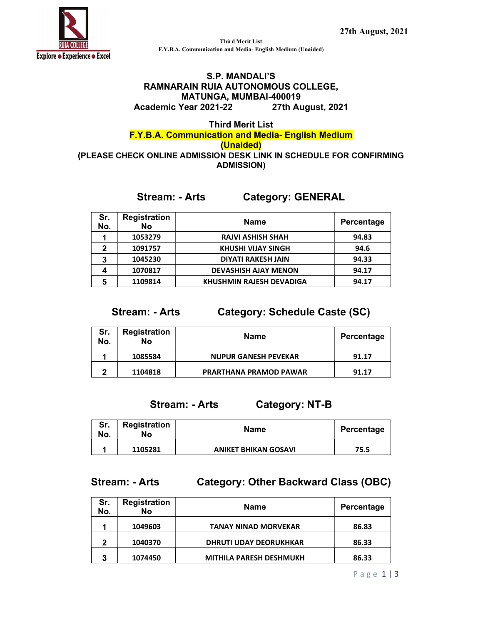

Third Merit List F.Y.B.A. Communication and Media- English Medium (Unaided)

#### S.P. MANDALI'S RAMNARAIN RUIA AUTONOMOUS COLLEGE, MATUNGA, MUMBAI-400019 Academic Year 2021-22 27th August, 2021

#### Third Merit List F.Y.B.A. Communication and Media- English Medium (Unaided) (PLEASE CHECK ONLINE ADMISSION DESK LINK IN SCHEDULE FOR CONFIRMING ADMISSION)

### Stream: - Arts Category: GENERAL

| Sr.<br>No. | <b>Registration</b><br>No | <b>Name</b>                     | Percentage |
|------------|---------------------------|---------------------------------|------------|
|            | 1053279                   | <b>RAJVI ASHISH SHAH</b>        | 94.83      |
| າ          | 1091757                   | <b>KHUSHI VIJAY SINGH</b>       | 94.6       |
| 3          | 1045230                   | <b>DIYATI RAKESH JAIN</b>       | 94.33      |
|            | 1070817                   | <b>DEVASHISH AJAY MENON</b>     | 94.17      |
| 5          | 1109814                   | <b>KHUSHMIN RAJESH DEVADIGA</b> | 94.17      |

Stream: - Arts Category: Schedule Caste (SC)

| Sr.<br>No. | <b>Registration</b><br>No | Name                          | Percentage |
|------------|---------------------------|-------------------------------|------------|
|            | 1085584                   | <b>NUPUR GANESH PEVEKAR</b>   | 91.17      |
| ∍          | 1104818                   | <b>PRARTHANA PRAMOD PAWAR</b> | 91.17      |

# Stream: - Arts Category: NT-B

| Sr.<br>No. | <b>Registration</b><br>No | Name                        | Percentage |
|------------|---------------------------|-----------------------------|------------|
|            | 1105281                   | <b>ANIKET BHIKAN GOSAVI</b> | 75.5       |

### Stream: - Arts Category: Other Backward Class (OBC)

| Sr.<br>No. | <b>Registration</b><br>No | Name                           | Percentage |
|------------|---------------------------|--------------------------------|------------|
|            | 1049603                   | <b>TANAY NINAD MORVEKAR</b>    | 86.83      |
| 2          | 1040370                   | <b>DHRUTI UDAY DEORUKHKAR</b>  | 86.33      |
| 3          | 1074450                   | <b>MITHILA PARESH DESHMUKH</b> | 86.33      |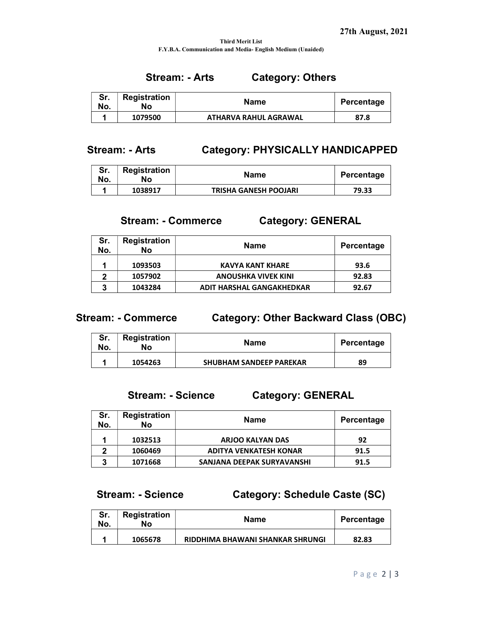#### Third Merit List F.Y.B.A. Communication and Media- English Medium (Unaided)

# Stream: - Arts Category: Others

| Sr.<br>No. | Registration<br>No | Name                  | Percentage |
|------------|--------------------|-----------------------|------------|
|            | 1079500            | ATHARVA RAHUL AGRAWAL | 87.8       |

# Stream: - Arts Category: PHYSICALLY HANDICAPPED

| oı.<br>No. | Registration<br>Nο | Name                         | Percentage |
|------------|--------------------|------------------------------|------------|
|            | 1038917            | <b>TRISHA GANESH POOJARI</b> | 79.33      |

### Stream: - Commerce Category: GENERAL

| Sr.<br>No. | <b>Registration</b><br>No | Name                       | Percentage |
|------------|---------------------------|----------------------------|------------|
|            | 1093503                   | <b>KAVYA KANT KHARE</b>    | 93.6       |
| າ          | 1057902                   | <b>ANOUSHKA VIVEK KINI</b> | 92.83      |
| 3          | 1043284                   | ADIT HARSHAL GANGAKHEDKAR  | 92.67      |

### Stream: - Commerce Category: Other Backward Class (OBC)

| Sr.<br>No. | <b>Registration</b><br>No | <b>Name</b>                    | Percentage |
|------------|---------------------------|--------------------------------|------------|
|            | 1054263                   | <b>SHUBHAM SANDEEP PAREKAR</b> | 89         |

### Stream: - Science Category: GENERAL

| Sr.<br>No. | <b>Registration</b><br>No | <b>Name</b>                   | Percentage |
|------------|---------------------------|-------------------------------|------------|
|            | 1032513                   | <b>ARJOO KALYAN DAS</b>       | 92         |
| ּ          | 1060469                   | <b>ADITYA VENKATESH KONAR</b> | 91.5       |
| າ          | 1071668                   | SANJANA DEEPAK SURYAVANSHI    | 91.5       |

# Stream: - Science Category: Schedule Caste (SC)

| Sr.<br>No. | <b>Registration</b><br>No | Name                             | Percentage |
|------------|---------------------------|----------------------------------|------------|
|            | 1065678                   | RIDDHIMA BHAWANI SHANKAR SHRUNGI | 82.83      |